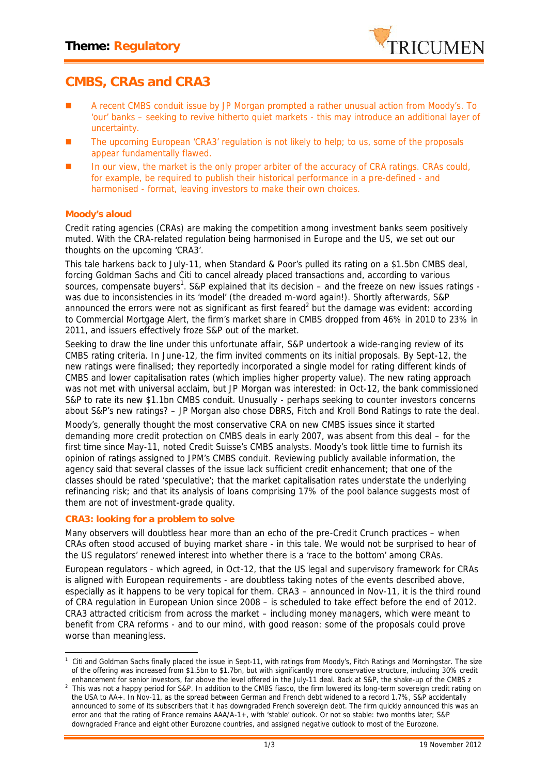

## **CMBS, CRAs and CRA3**

- A recent CMBS conduit issue by JP Morgan prompted a rather unusual action from Moody's. To 'our' banks – seeking to revive hitherto quiet markets - this may introduce an additional layer of uncertainty.
- The upcoming European 'CRA3' regulation is not likely to help; to us, some of the proposals appear fundamentally flawed.
- In our view, the market is the only proper arbiter of the accuracy of CRA ratings. CRAs could, for example, be required to publish their historical performance in a pre-defined - and harmonised - format, leaving investors to make their own choices.

## **Moody's aloud**

Credit rating agencies (CRAs) are making the competition among investment banks seem positively muted. With the CRA-related regulation being harmonised in Europe and the US, we set out our thoughts on the upcoming 'CRA3'.

This tale harkens back to July-11, when Standard & Poor's pulled its rating on a \$1.5bn CMBS deal, forcing Goldman Sachs and Citi to cancel already placed transactions and, according to various sources, compensate buyers<sup>1</sup>. S&P explained that its decision – and the freeze on new issues ratings was due to inconsistencies in its 'model' (the dreaded m-word again!). Shortly afterwards, S&P announced the errors were not as significant as first feared<sup>2</sup> but the damage was evident: according to Commercial Mortgage Alert, the firm's market share in CMBS dropped from 46% in 2010 to 23% in 2011, and issuers effectively froze S&P out of the market.

Seeking to draw the line under this unfortunate affair, S&P undertook a wide-ranging review of its CMBS rating criteria. In June-12, the firm invited comments on its initial proposals. By Sept-12, the new ratings were finalised; they reportedly incorporated a single model for rating different kinds of CMBS and lower capitalisation rates (which implies higher property value). The new rating approach was not met with universal acclaim, but JP Morgan was interested: in Oct-12, the bank commissioned S&P to rate its new \$1.1bn CMBS conduit. Unusually - perhaps seeking to counter investors concerns about S&P's new ratings? – JP Morgan also chose DBRS, Fitch and Kroll Bond Ratings to rate the deal.

Moody's, generally thought the most conservative CRA on new CMBS issues since it started demanding more credit protection on CMBS deals in early 2007, was absent from this deal – for the first time since May-11, noted Credit Suisse's CMBS analysts. Moody's took little time to furnish its opinion of ratings assigned to JPM's CMBS conduit. Reviewing publicly available information, the agency said that several classes of the issue lack sufficient credit enhancement; that one of the classes should be rated 'speculative'; that the market capitalisation rates understate the underlying refinancing risk; and that its analysis of loans comprising 17% of the pool balance suggests most of them are not of investment-grade quality.

## **CRA3: looking for a problem to solve**

Many observers will doubtless hear more than an echo of the pre-Credit Crunch practices – when CRAs often stood accused of buying market share - in this tale. We would not be surprised to hear of the US regulators' renewed interest into whether there is a 'race to the bottom' among CRAs.

European regulators -which agreed, in Oct-12, that the US legal and supervisory framework for CRAs is aligned with European requirements - are doubtless taking notes of the events described above, especially as it happens to be very topical for them. CRA3 – announced in Nov-11, it is the third round of CRA regulation in European Union since 2008 – is scheduled to take effect before the end of 2012. CRA3 attracted criticism from across the market – including money managers, which were meant to benefit from CRA reforms - and to our mind, with good reason: some of the proposals could prove worse than meaningless.

*<sup>1</sup> Citi and Goldman Sachs finally placed the issue in Sept-11, with ratings from Moody's, Fitch Ratings and Morningstar. The size of the offering was increased from \$1.5bn to \$1.7bn, but with significantly more conservative structure, including 30% credit enhancement for senior investors, far above the level offered in the July-11 deal. Back at S&P, the shake-up of the CMBS z*

*<sup>2</sup> This was not a happy period for S&P. In addition to the CMBS fiasco, the firm lowered its long-term sovereign credit rating on the USA to AA+. In Nov-11, as the spread between German and French debt widened to a record 1.7%, S&P accidentally announced to some of its subscribers that it has downgraded French sovereign debt. The firm quickly announced this was an error and that the rating of France remains AAA/A-1+, with 'stable' outlook. Or not so stable: two months later; S&P downgraded France and eight other Eurozone countries, and assigned negative outlook to most of the Eurozone.*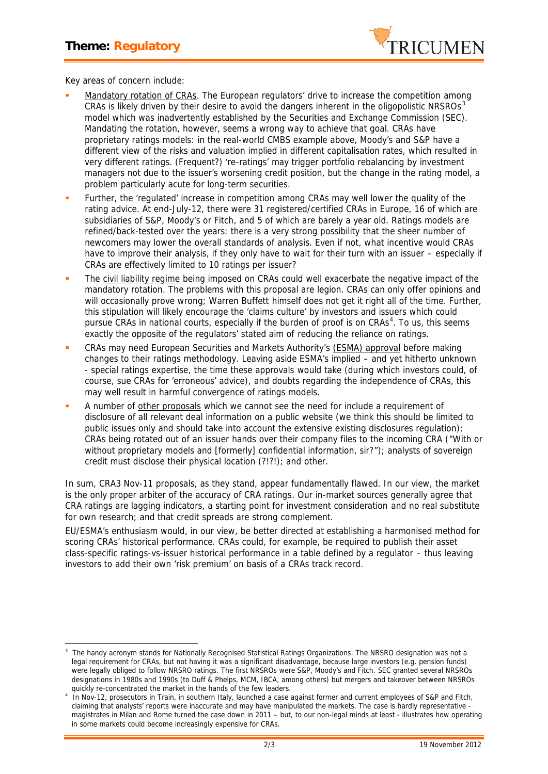

Key areas of concern include:

- Mandatory rotation of CRAs. The European regulators' drive to increase the competition among CRAs is likely driven by their desire to avoid the dangers inherent in the oligopolistic NRSROs<sup>3</sup> model which was inadvertently established by the Securities and Exchange Commission (SEC). Mandating the rotation, however, seems a wrong way to achieve that goal. CRAs have proprietary ratings models: in the real-world CMBS example above, Moody's and S&P have a different view of the risks and valuation implied in different capitalisation rates, which resulted in very different ratings. (Frequent?) 're-ratings' may trigger portfolio rebalancing by investment managers not due to the issuer's worsening credit position, but the change in the rating model, a problem particularly acute for long-term securities.
- Further, the 'regulated' increase in competition among CRAs may well lower the quality of the rating advice. At end-July-12, there were 31 registered/certified CRAs in Europe, 16 of which are subsidiaries of S&P, Moody's or Fitch, and 5 of which are barely a year old. Ratings models are refined/back-tested over the years: there is a very strong possibility that the sheer number of newcomers may lower the overall standards of analysis. Even if not, what incentive would CRAs have to improve their analysis, if they only have to wait for their turn with an issuer – especially if CRAs are effectively limited to 10 ratings per issuer?
- The civil liability regime being imposed on CRAs could well exacerbate the negative impact of the mandatory rotation. The problems with this proposal are legion. CRAs can only offer opinions and will occasionally prove wrong; Warren Buffett himself does not get it right all of the time. Further, this stipulation will likely encourage the 'claims culture' by investors and issuers which could pursue CRAs in national courts, especially if the burden of proof is on CRAs<sup>4</sup>. To us, this seems exactly the opposite of the regulators' stated aim of *reducing* the reliance on ratings.
- CRAs may need European Securities and Markets Authority's (ESMA) approval before making changes to their ratings methodology. Leaving aside ESMA's implied – and yet hitherto unknown - special ratings expertise, the time these approvals would take (during which investors could, of course, sue CRAs for 'erroneous' advice), *and* doubts regarding the independence of CRAs, this may well result in harmful convergence of ratings models.
- A number of other proposals which we cannot see the need for include a requirement of disclosure of all relevant deal information on a public website (we think this should be limited to public issues only and should take into account the extensive existing disclosures regulation); CRAs being rotated out of an issuer hands over their company files to the incoming CRA ("With or without proprietary models and [formerly] confidential information, sir?"); analysts of sovereign credit must disclose their physical location (?!?!); and other.

In sum, CRA3 Nov-11 proposals, as they stand, appear fundamentally flawed. In our view, the market is the only proper arbiter of the accuracy of CRA ratings. Our in-market sources generally agree that CRA ratings are lagging indicators, a starting point for investment consideration and no real substitute for own research; and that credit spreads are strong complement.

EU/ESMA's enthusiasm would, in our view, be better directed at establishing a harmonised method for scoring CRAs' historical performance. CRAs could, for example, be required to publish their asset class-specific ratings-vs-issuer historical performance in a table defined by a regulator – thus leaving investors to add their own 'risk premium' on basis of a CRAs track record.

*<sup>3</sup> The handy acronym stands for Nationally Recognised Statistical Ratings Organizations. The NRSRO designation was not a legal requirement for CRAs, but not having it was a significant disadvantage, because large investors (e.g. pension funds) were legally obliged to follow NRSRO ratings. The first NRSROs were S&P, Moody's and Fitch. SEC granted several NRSROs designations in 1980s and 1990s (to Duff & Phelps, MCM, IBCA, among others) but mergers and takeover between NRSROs quickly re-concentrated the market in the hands of the few leaders.*

*<sup>4</sup> In Nov-12, prosecutors in Train, in southern Italy, launched a case against former and current employees of S&P and Fitch, claiming that analysts' reports were inaccurate and may have manipulated the markets. The case is hardly representative magistrates in Milan and Rome turned the case down in 2011 – but, to our non-legal minds at least - illustrates how operating in some markets could become increasingly expensive for CRAs.*